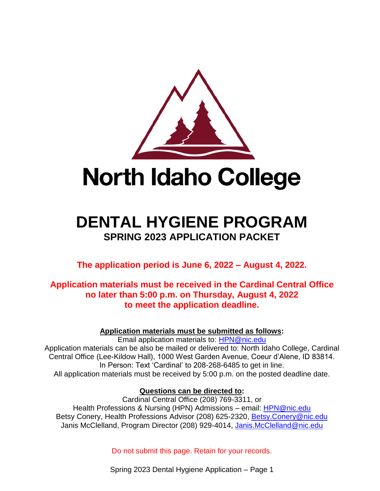

# **DENTAL HYGIENE PROGRAM SPRING 2023 APPLICATION PACKET**

**The application period is June 6, 2022 – August 4, 2022.**

# **Application materials must be received in the Cardinal Central Office no later than 5:00 p.m. on Thursday, August 4, 2022 to meet the application deadline.**

**Application materials must be submitted as follows:**

Email application materials to: [HPN@nic.edu](mailto:HPN@nic.edu) Application materials can be also be mailed or delivered to: North Idaho College, Cardinal Central Office (Lee-Kildow Hall), 1000 West Garden Avenue, Coeur d'Alene, ID 83814. In Person: Text 'Cardinal' to 208-268-6485 to get in line. All application materials must be received by 5:00 p.m. on the posted deadline date.

# **Questions can be directed to:**

Cardinal Central Office (208) 769-3311, or Health Professions & Nursing (HPN) Admissions – email: [HPN@nic.edu](mailto:HPN@nic.edu) Betsy Conery, Health Professions Advisor (208) 625-2320, [Betsy.Conery@nic.edu](mailto:Betsy.Conery@nic.edu) Janis McClelland, Program Director (208) 929-4014, [Janis.McClelland@nic.edu](mailto:Janis.McClelland@nic.edu)

Do not submit this page. Retain for your records.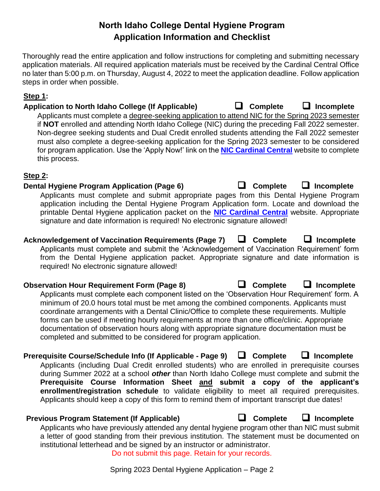# **North Idaho College Dental Hygiene Program Application Information and Checklist**

Thoroughly read the entire application and follow instructions for completing and submitting necessary application materials. All required application materials must be received by the Cardinal Central Office no later than 5:00 p.m. on Thursday, August 4, 2022 to meet the application deadline. Follow application steps in order when possible.

#### **Step 1:**

**Application to North Idaho College (If Applicable)** ❑ **Complete** ❑ **Incomplete** 

Applicants must complete a degree-seeking application to attend NIC for the Spring 2023 semester if **NOT** enrolled and attending North Idaho College (NIC) during the preceding Fall 2022 semester. Non-degree seeking students and Dual Credit enrolled students attending the Fall 2022 semester must also complete a degree-seeking application for the Spring 2023 semester to be considered for program application. Use the 'Apply Now!' link on the **[NIC Cardinal Central](https://nic.edu/cardinalcentral/)** website to complete this process.

#### **Step 2:**

#### **Dental Hygiene Program Application (Page 6)** ❑ **Complete** ❑ **Incomplete**

Applicants must complete and submit appropriate pages from this Dental Hygiene Program application including the Dental Hygiene Program Application form. Locate and download the printable Dental Hygiene application packet on the **[NIC Cardinal Central](https://nic.edu/cardinalcentral/)** website. Appropriate signature and date information is required! No electronic signature allowed!

# **Acknowledgement of Vaccination Requirements (Page 7)** ❑ **Complete** ❑ **Incomplete**

Applicants must complete and submit the 'Acknowledgement of Vaccination Requirement' form from the Dental Hygiene application packet. Appropriate signature and date information is required! No electronic signature allowed!

### **Observation Hour Requirement Form (Page 8)** ❑ **Complete** ❑ **Incomplete**

Applicants must complete each component listed on the 'Observation Hour Requirement' form. A minimum of 20.0 hours total must be met among the combined components. Applicants must coordinate arrangements with a Dental Clinic/Office to complete these requirements. Multiple forms can be used if meeting hourly requirements at more than one office/clinic. Appropriate documentation of observation hours along with appropriate signature documentation must be completed and submitted to be considered for program application.

# **Prerequisite Course/Schedule Info (If Applicable - Page 9)** ❑ **Complete** ❑ **Incomplete**

Applicants (including Dual Credit enrolled students) who are enrolled in prerequisite courses during Summer 2022 at a school *other* than North Idaho College must complete and submit the **Prerequisite Course Information Sheet and submit a copy of the applicant's enrollment/registration schedule** to validate eligibility to meet all required prerequisites. Applicants should keep a copy of this form to remind them of important transcript due dates!

# **Previous Program Statement (If Applicable)** ❑ **Complete** ❑ **Incomplete**

Applicants who have previously attended any dental hygiene program other than NIC must submit a letter of good standing from their previous institution. The statement must be documented on institutional letterhead and be signed by an instructor or administrator. Do not submit this page. Retain for your records.

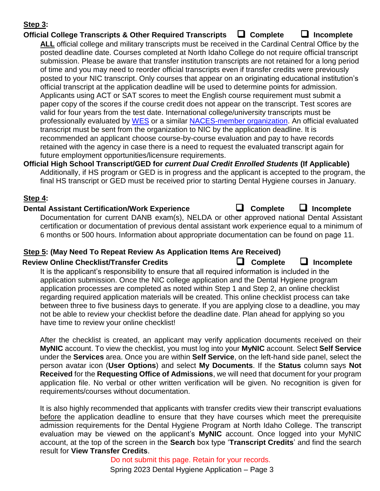#### **Step 3:**

### **Official College Transcripts & Other Required Transcripts** ❑ **Complete** ❑ **Incomplete**

**ALL** official college and military transcripts must be received in the Cardinal Central Office by the posted deadline date. Courses completed at North Idaho College do not require official transcript submission. Please be aware that transfer institution transcripts are not retained for a long period of time and you may need to reorder official transcripts even if transfer credits were previously posted to your NIC transcript. Only courses that appear on an originating educational institution's official transcript at the application deadline will be used to determine points for admission. Applicants using ACT or SAT scores to meet the English course requirement must submit a paper copy of the scores if the course credit does not appear on the transcript. Test scores are valid for four years from the test date. International college/university transcripts must be professionally evaluated by [WES](http://www.wes.org/) or a similar [NACES-member organization.](http://www.naces.org/members) An official evaluated transcript must be sent from the organization to NIC by the application deadline. It is recommended an applicant choose course-by-course evaluation and pay to have records retained with the agency in case there is a need to request the evaluated transcript again for future employment opportunities/licensure requirements.

**Official High School Transcript/GED for** *current Dual Credit Enrolled Students* **(If Applicable)** Additionally, if HS program or GED is in progress and the applicant is accepted to the program, the final HS transcript or GED must be received prior to starting Dental Hygiene courses in January.

#### **Step 4:**

#### **Dental Assistant Certification/Work Experience** ❑ **Complete** ❑ **Incomplete**

Documentation for current DANB exam(s), NELDA or other approved national Dental Assistant certification or documentation of previous dental assistant work experience equal to a minimum of 6 months or 500 hours. Information about appropriate documentation can be found on page 11.

#### **Step 5: (May Need To Repeat Review As Application Items Are Received)**

#### **Review Online Checklist/Transfer Credits** ❑ **Complete** ❑ **Incomplete**

It is the applicant's responsibility to ensure that all required information is included in the application submission. Once the NIC college application and the Dental Hygiene program application processes are completed as noted within Step 1 and Step 2, an online checklist regarding required application materials will be created. This online checklist process can take between three to five business days to generate. If you are applying close to a deadline, you may not be able to review your checklist before the deadline date. Plan ahead for applying so you have time to review your online checklist!

After the checklist is created, an applicant may verify application documents received on their **MyNIC** account. To view the checklist, you must log into your **MyNIC** account. Select **Self Service** under the **Services** area. Once you are within **Self Service**, on the left-hand side panel, select the person avatar icon (**User Options**) and select **My Documents**. If the **Status** column says **Not Received** for the **Requesting Office of Admissions**, we will need that document for your program application file. No verbal or other written verification will be given. No recognition is given for requirements/courses without documentation.

It is also highly recommended that applicants with transfer credits view their transcript evaluations before the application deadline to ensure that they have courses which meet the prerequisite admission requirements for the Dental Hygiene Program at North Idaho College. The transcript evaluation may be viewed on the applicant's **MyNIC** account. Once logged into your MyNIC account, at the top of the screen in the **Search** box type '**Transcript Credits**' and find the search result for **View Transfer Credits**.

> Spring 2023 Dental Hygiene Application – Page 3 Do not submit this page. Retain for your records.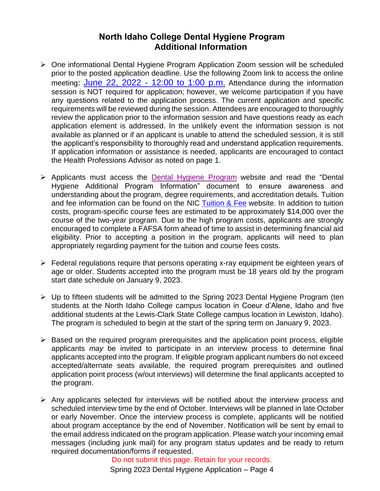# **North Idaho College Dental Hygiene Program Additional Information**

- ➢ One informational Dental Hygiene Program Application Zoom session will be scheduled prior to the posted application deadline. Use the following Zoom link to access the online meeting: June 22, 2022 - [12:00 to 1:00 p.m.](https://nic.zoom.us/j/87309680292) Attendance during the information session is NOT required for application; however, we welcome participation if you have any questions related to the application process. The current application and specific requirements will be reviewed during the session. Attendees are encouraged to thoroughly review the application prior to the information session and have questions ready as each application element is addressed. In the unlikely event the information session is not available as planned or if an applicant is unable to attend the scheduled session, it is still the applicant's responsibility to thoroughly read and understand application requirements. If application information or assistance is needed, applicants are encouraged to contact the Health Professions Advisor as noted on page 1.
- ➢ Applicants must access the [Dental Hygiene Program](http://www.nic.edu/programs/dental-hygiene) website and read the "Dental Hygiene Additional Program Information" document to ensure awareness and understanding about the program, degree requirements, and accreditation details. Tuition and fee information can be found on the NIC [Tuition & Fee](https://www.nic.edu/websites/default.aspx?dpt=12&pageId=6970) website. In addition to tuition costs, program-specific course fees are estimated to be approximately \$14,000 over the course of the two-year program. Due to the high program costs, applicants are strongly encouraged to complete a FAFSA form ahead of time to assist in determining financial aid eligibility. Prior to accepting a position in the program, applicants will need to plan appropriately regarding payment for the tuition and course fees costs.
- ➢ Federal regulations require that persons operating x-ray equipment be eighteen years of age or older. Students accepted into the program must be 18 years old by the program start date schedule on January 9, 2023.
- ➢ Up to fifteen students will be admitted to the Spring 2023 Dental Hygiene Program (ten students at the North Idaho College campus location in Coeur d'Alene, Idaho and five additional students at the Lewis-Clark State College campus location in Lewiston, Idaho). The program is scheduled to begin at the start of the spring term on January 9, 2023.
- ➢ Based on the required program prerequisites and the application point process, eligible applicants *may* be invited to participate in an interview process to determine final applicants accepted into the program. If eligible program applicant numbers do not exceed accepted/alternate seats available, the required program prerequisites and outlined application point process (w/out interviews) will determine the final applicants accepted to the program.
- ➢ Any applicants selected for interviews will be notified about the interview process and scheduled interview time by the end of October. Interviews will be planned in late October or early November. Once the interview process is complete, applicants will be notified about program acceptance by the end of November. Notification will be sent by email to the email address indicated on the program application. Please watch your incoming email messages (including junk mail) for any program status updates and be ready to return required documentation/forms if requested.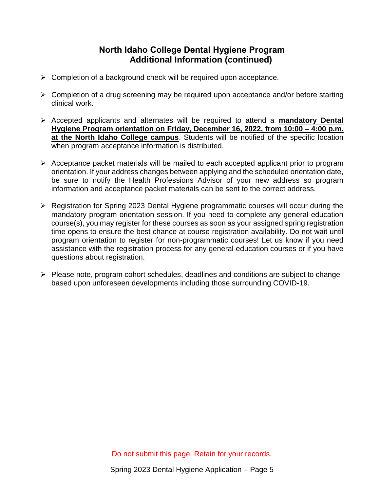# **North Idaho College Dental Hygiene Program Additional Information (continued)**

- ➢ Completion of a background check will be required upon acceptance.
- ➢ Completion of a drug screening may be required upon acceptance and/or before starting clinical work.
- ➢ Accepted applicants and alternates will be required to attend a **mandatory Dental Hygiene Program orientation on Friday, December 16, 2022, from 10:00 – 4:00 p.m. at the North Idaho College campus**. Students will be notified of the specific location when program acceptance information is distributed.
- ➢ Acceptance packet materials will be mailed to each accepted applicant prior to program orientation. If your address changes between applying and the scheduled orientation date, be sure to notify the Health Professions Advisor of your new address so program information and acceptance packet materials can be sent to the correct address.
- ➢ Registration for Spring 2023 Dental Hygiene programmatic courses will occur during the mandatory program orientation session. If you need to complete any general education course(s), you may register for these courses as soon as your assigned spring registration time opens to ensure the best chance at course registration availability. Do not wait until program orientation to register for non-programmatic courses! Let us know if you need assistance with the registration process for any general education courses or if you have questions about registration.
- ➢ Please note, program cohort schedules, deadlines and conditions are subject to change based upon unforeseen developments including those surrounding COVID-19.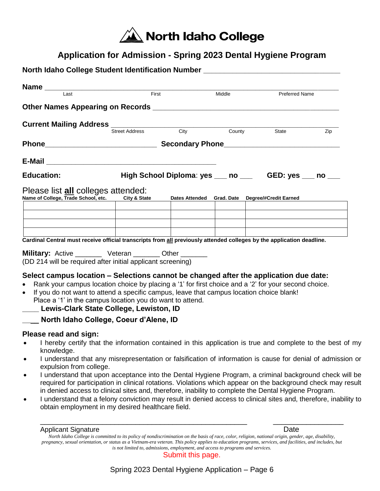

# **Application for Admission - Spring 2023 Dental Hygiene Program**

|                                                                                                                                                                                                                                                                                                                                                                                                                             | <b>Name</b><br><b>Example 1 ast</b> |                                                        | Middle | Preferred Name                                  |     |
|-----------------------------------------------------------------------------------------------------------------------------------------------------------------------------------------------------------------------------------------------------------------------------------------------------------------------------------------------------------------------------------------------------------------------------|-------------------------------------|--------------------------------------------------------|--------|-------------------------------------------------|-----|
|                                                                                                                                                                                                                                                                                                                                                                                                                             |                                     |                                                        |        |                                                 |     |
|                                                                                                                                                                                                                                                                                                                                                                                                                             |                                     |                                                        |        |                                                 |     |
|                                                                                                                                                                                                                                                                                                                                                                                                                             |                                     |                                                        |        |                                                 | Zip |
|                                                                                                                                                                                                                                                                                                                                                                                                                             |                                     |                                                        |        |                                                 |     |
|                                                                                                                                                                                                                                                                                                                                                                                                                             |                                     |                                                        |        |                                                 |     |
| <b>Education:</b>                                                                                                                                                                                                                                                                                                                                                                                                           |                                     | High School Diploma: yes ___ no ___ GED: yes ___ no __ |        |                                                 |     |
| Please list all colleges attended:<br>Name of College, Trade School, etc. City & State                                                                                                                                                                                                                                                                                                                                      |                                     |                                                        |        | Dates Attended Grad. Date Degree/#Credit Earned |     |
|                                                                                                                                                                                                                                                                                                                                                                                                                             |                                     |                                                        |        |                                                 |     |
| Cardinal Central must receive official transcripts from all previously attended colleges by the application deadline.<br><b>Military:</b> Active _________ Veteran ________ Other _______<br>(DD 214 will be required after initial applicant screening)                                                                                                                                                                    |                                     |                                                        |        |                                                 |     |
| Select campus location – Selections cannot be changed after the application due date:<br>Rank your campus location choice by placing a '1' for first choice and a '2' for your second choice.<br>$\bullet$<br>If you do not want to attend a specific campus, leave that campus location choice blank!<br>$\bullet$<br>Place a '1' in the campus location you do want to attend.<br>Lewis-Clark State College, Lewiston, ID |                                     |                                                        |        |                                                 |     |

# **Please read and sign:**

- I hereby certify that the information contained in this application is true and complete to the best of my knowledge.
- I understand that any misrepresentation or falsification of information is cause for denial of admission or expulsion from college.
- I understand that upon acceptance into the Dental Hygiene Program, a criminal background check will be required for participation in clinical rotations. Violations which appear on the background check may result in denied access to clinical sites and, therefore, inability to complete the Dental Hygiene Program.
- I understand that a felony conviction may result in denied access to clinical sites and, therefore, inability to obtain employment in my desired healthcare field.

\_\_\_\_\_\_\_\_\_\_\_\_\_\_\_\_\_\_\_\_\_\_\_\_\_\_\_\_\_\_\_\_\_\_\_\_\_\_\_\_\_\_\_\_\_\_\_\_\_\_ \_\_\_\_\_\_\_\_\_\_\_\_\_\_\_\_\_

Applicant Signature **Date** 

Submit this page.

*North Idaho College is committed to its policy of nondiscrimination on the basis of race, color, religion, national origin, gender, age, disability, pregnancy, sexual orientation, or status as a Vietnam-era veteran. This policy applies to education programs, services, and facilities, and includes, but is not limited to, admissions, employment, and access to programs and services.*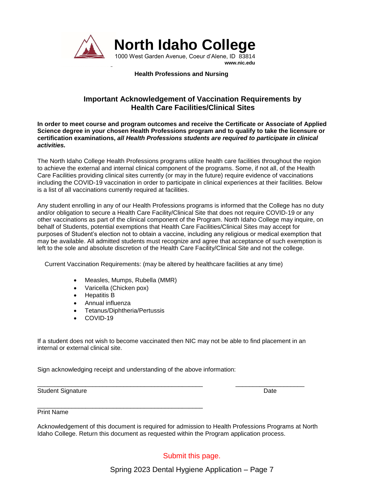

#### **Health Professions and Nursing**

#### **Important Acknowledgement of Vaccination Requirements by Health Care Facilities/Clinical Sites**

**In order to meet course and program outcomes and receive the Certificate or Associate of Applied Science degree in your chosen Health Professions program and to qualify to take the licensure or certification examinations,** *all Health Professions students are required to participate in clinical activities.* 

The North Idaho College Health Professions programs utilize health care facilities throughout the region to achieve the external and internal clinical component of the programs. Some, if not all, of the Health Care Facilities providing clinical sites currently (or may in the future) require evidence of vaccinations including the COVID-19 vaccination in order to participate in clinical experiences at their facilities. Below is a list of all vaccinations currently required at facilities.

Any student enrolling in any of our Health Professions programs is informed that the College has no duty and/or obligation to secure a Health Care Facility/Clinical Site that does not require COVID-19 or any other vaccinations as part of the clinical component of the Program. North Idaho College may inquire, on behalf of Students, potential exemptions that Health Care Facilities/Clinical Sites may accept for purposes of Student's election not to obtain a vaccine, including any religious or medical exemption that may be available. All admitted students must recognize and agree that acceptance of such exemption is left to the sole and absolute discretion of the Health Care Facility/Clinical Site and not the college.

Current Vaccination Requirements: (may be altered by healthcare facilities at any time)

- Measles, Mumps, Rubella (MMR)
- Varicella (Chicken pox)
- Hepatitis B
- Annual influenza
- Tetanus/Diphtheria/Pertussis

\_\_\_\_\_\_\_\_\_\_\_\_\_\_\_\_\_\_\_\_\_\_\_\_\_\_\_\_\_\_\_\_\_\_\_\_\_\_\_\_\_\_\_\_\_\_\_\_

• COVID-19

If a student does not wish to become vaccinated then NIC may not be able to find placement in an internal or external clinical site.

\_\_\_\_\_\_\_\_\_\_\_\_\_\_\_\_\_\_\_\_\_\_\_\_\_\_\_\_\_\_\_\_\_\_\_\_\_\_\_\_\_\_\_\_\_\_\_\_ \_\_\_\_\_\_\_\_\_\_\_\_\_\_\_\_\_\_\_\_

Sign acknowledging receipt and understanding of the above information:

Student Signature Date

Print Name

Acknowledgement of this document is required for admission to Health Professions Programs at North Idaho College. Return this document as requested within the Program application process.

Submit this page.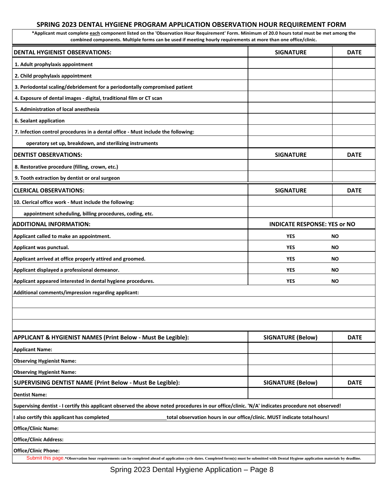#### **SPRING 2023 DENTAL HYGIENE PROGRAM APPLICATION OBSERVATION HOUR REQUIREMENT FORM**

**\*Applicant must complete each component listed on the 'Observation Hour Requirement' Form. Minimum of 20.0 hours total must be met among the combined components. Multiple forms can be used if meeting hourly requirements at more than one office/clinic.**

| <b>DENTAL HYGIENIST OBSERVATIONS:</b>                                                                                                                                                                                        | <b>SIGNATURE</b>                    | <b>DATE</b> |
|------------------------------------------------------------------------------------------------------------------------------------------------------------------------------------------------------------------------------|-------------------------------------|-------------|
| 1. Adult prophylaxis appointment                                                                                                                                                                                             |                                     |             |
| 2. Child prophylaxis appointment                                                                                                                                                                                             |                                     |             |
| 3. Periodontal scaling/debridement for a periodontally compromised patient                                                                                                                                                   |                                     |             |
| 4. Exposure of dental images - digital, traditional film or CT scan                                                                                                                                                          |                                     |             |
| 5. Administration of local anesthesia                                                                                                                                                                                        |                                     |             |
| 6. Sealant application                                                                                                                                                                                                       |                                     |             |
| 7. Infection control procedures in a dental office - Must include the following:                                                                                                                                             |                                     |             |
| operatory set up, breakdown, and sterilizing instruments                                                                                                                                                                     |                                     |             |
| <b>DENTIST OBSERVATIONS:</b>                                                                                                                                                                                                 | <b>SIGNATURE</b>                    | <b>DATE</b> |
| 8. Restorative procedure (filling, crown, etc.)                                                                                                                                                                              |                                     |             |
| 9. Tooth extraction by dentist or oral surgeon                                                                                                                                                                               |                                     |             |
| <b>CLERICAL OBSERVATIONS:</b>                                                                                                                                                                                                | <b>SIGNATURE</b>                    | <b>DATE</b> |
| 10. Clerical office work - Must include the following:                                                                                                                                                                       |                                     |             |
| appointment scheduling, billing procedures, coding, etc.                                                                                                                                                                     |                                     |             |
| <b>ADDITIONAL INFORMATION:</b>                                                                                                                                                                                               | <b>INDICATE RESPONSE: YES or NO</b> |             |
| Applicant called to make an appointment.                                                                                                                                                                                     | <b>YES</b>                          | <b>NO</b>   |
| Applicant was punctual.                                                                                                                                                                                                      | <b>YES</b>                          | <b>NO</b>   |
| Applicant arrived at office properly attired and groomed.                                                                                                                                                                    | <b>YES</b>                          | <b>NO</b>   |
| Applicant displayed a professional demeanor.                                                                                                                                                                                 | <b>YES</b>                          | <b>NO</b>   |
| Applicant appeared interested in dental hygiene procedures.                                                                                                                                                                  | <b>YES</b>                          | <b>NO</b>   |
| Additional comments/impression regarding applicant:                                                                                                                                                                          |                                     |             |
|                                                                                                                                                                                                                              |                                     |             |
|                                                                                                                                                                                                                              |                                     |             |
|                                                                                                                                                                                                                              |                                     |             |
| APPLICANT & HYGIENIST NAMES (Print Below - Must Be Legible):                                                                                                                                                                 | <b>SIGNATURE (Below)</b>            | <b>DATE</b> |
| <b>Applicant Name:</b>                                                                                                                                                                                                       |                                     |             |
| <b>Observing Hygienist Name:</b>                                                                                                                                                                                             |                                     |             |
| <b>Observing Hygienist Name:</b>                                                                                                                                                                                             |                                     |             |
| SUPERVISING DENTIST NAME (Print Below - Must Be Legible):                                                                                                                                                                    | <b>SIGNATURE (Below)</b>            | <b>DATE</b> |
| <b>Dentist Name:</b>                                                                                                                                                                                                         |                                     |             |
| Supervising dentist - I certify this applicant observed the above noted procedures in our office/clinic. 'N/A' indicates procedure not observed!                                                                             |                                     |             |
| I also certify this applicant has completed<br>total observation hours in our office/clinic. MUST indicate total hours!                                                                                                      |                                     |             |
| <b>Office/Clinic Name:</b>                                                                                                                                                                                                   |                                     |             |
| <b>Office/Clinic Address:</b>                                                                                                                                                                                                |                                     |             |
| <b>Office/Clinic Phone:</b><br>Submit this page.*Observation hour requirements can be completed ahead of application cycle dates. Completed form(s) must be submitted with Dental Hygiene application materials by deadline. |                                     |             |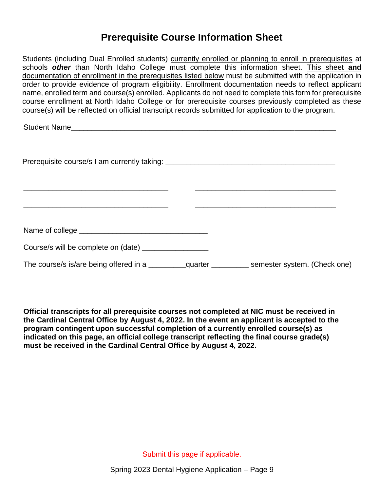# **Prerequisite Course Information Sheet**

Students (including Dual Enrolled students) currently enrolled or planning to enroll in prerequisites at schools *other* than North Idaho College must complete this information sheet. This sheet **and** documentation of enrollment in the prerequisites listed below must be submitted with the application in order to provide evidence of program eligibility. Enrollment documentation needs to reflect applicant name, enrolled term and course(s) enrolled. Applicants do not need to complete this form for prerequisite course enrollment at North Idaho College or for prerequisite courses previously completed as these course(s) will be reflected on official transcript records submitted for application to the program.

Student Name

| Prerequisite course/s I am currently taking: ___________________________________                                     |  |
|----------------------------------------------------------------------------------------------------------------------|--|
| <u> 1989 - Johann John Stone, markin film yn y brening yn y brening yn y brening yn y brening yn y brening y bre</u> |  |
|                                                                                                                      |  |
| Course/s will be complete on (date) __________________                                                               |  |
|                                                                                                                      |  |

**Official transcripts for all prerequisite courses not completed at NIC must be received in the Cardinal Central Office by August 4, 2022. In the event an applicant is accepted to the program contingent upon successful completion of a currently enrolled course(s) as indicated on this page, an official college transcript reflecting the final course grade(s) must be received in the Cardinal Central Office by August 4, 2022.** 

Submit this page if applicable.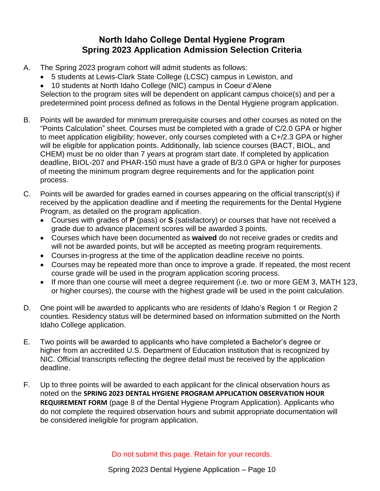# **North Idaho College Dental Hygiene Program Spring 2023 Application Admission Selection Criteria**

- A. The Spring 2023 program cohort will admit students as follows:
	- 5 students at Lewis-Clark State College (LCSC) campus in Lewiston, and
	- 10 students at North Idaho College (NIC) campus in Coeur d'Alene Selection to the program sites will be dependent on applicant campus choice(s) and per a predetermined point process defined as follows in the Dental Hygiene program application.
- B. Points will be awarded for minimum prerequisite courses and other courses as noted on the "Points Calculation" sheet. Courses must be completed with a grade of C/2.0 GPA or higher to meet application eligibility; however, only courses completed with a C+/2.3 GPA or higher will be eligible for application points. Additionally, lab science courses (BACT, BIOL, and CHEM) must be no older than 7 years at program start date. If completed by application deadline, BIOL-207 and PHAR-150 must have a grade of B/3.0 GPA or higher for purposes of meeting the minimum program degree requirements and for the application point process.
- C. Points will be awarded for grades earned in courses appearing on the official transcript(s) if received by the application deadline and if meeting the requirements for the Dental Hygiene Program, as detailed on the program application.
	- Courses with grades of **P** (pass) or **S** (satisfactory) or courses that have not received a grade due to advance placement scores will be awarded 3 points.
	- Courses which have been documented as **waived** do not receive grades or credits and will not be awarded points, but will be accepted as meeting program requirements.
	- Courses in-progress at the time of the application deadline receive no points.
	- Courses may be repeated more than once to improve a grade. If repeated, the most recent course grade will be used in the program application scoring process.
	- If more than one course will meet a degree requirement (i.e. two or more GEM 3, MATH 123, or higher courses), the course with the highest grade will be used in the point calculation.
- D. One point will be awarded to applicants who are residents of Idaho's Region 1 or Region 2 counties. Residency status will be determined based on information submitted on the North Idaho College application.
- E. Two points will be awarded to applicants who have completed a Bachelor's degree or higher from an accredited U.S. Department of Education institution that is recognized by NIC. Official transcripts reflecting the degree detail must be received by the application deadline.
- F. Up to three points will be awarded to each applicant for the clinical observation hours as noted on the **SPRING 2023 DENTAL HYGIENE PROGRAM APPLICATION OBSERVATION HOUR REQUIREMENT FORM** (page 8 of the Dental Hygiene Program Application). Applicants who do not complete the required observation hours and submit appropriate documentation will be considered ineligible for program application.

Do not submit this page. Retain for your records.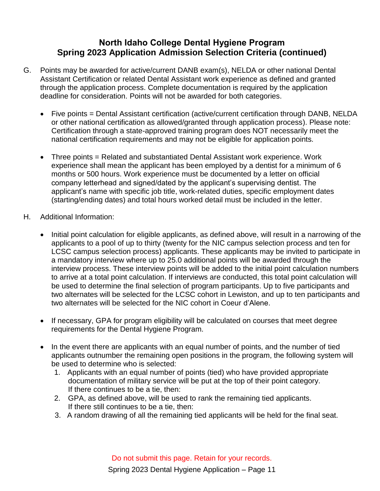# **North Idaho College Dental Hygiene Program Spring 2023 Application Admission Selection Criteria (continued)**

- G. Points may be awarded for active/current DANB exam(s), NELDA or other national Dental Assistant Certification or related Dental Assistant work experience as defined and granted through the application process. Complete documentation is required by the application deadline for consideration. Points will not be awarded for both categories.
	- Five points = Dental Assistant certification (active/current certification through DANB, NELDA or other national certification as allowed/granted through application process). Please note: Certification through a state-approved training program does NOT necessarily meet the national certification requirements and may not be eligible for application points.
	- Three points = Related and substantiated Dental Assistant work experience. Work experience shall mean the applicant has been employed by a dentist for a minimum of 6 months or 500 hours. Work experience must be documented by a letter on official company letterhead and signed/dated by the applicant's supervising dentist. The applicant's name with specific job title, work-related duties, specific employment dates (starting/ending dates) and total hours worked detail must be included in the letter.
- H. Additional Information:
	- Initial point calculation for eligible applicants, as defined above, will result in a narrowing of the applicants to a pool of up to thirty (twenty for the NIC campus selection process and ten for LCSC campus selection process) applicants. These applicants may be invited to participate in a mandatory interview where up to 25.0 additional points will be awarded through the interview process. These interview points will be added to the initial point calculation numbers to arrive at a total point calculation. If interviews are conducted, this total point calculation will be used to determine the final selection of program participants. Up to five participants and two alternates will be selected for the LCSC cohort in Lewiston, and up to ten participants and two alternates will be selected for the NIC cohort in Coeur d'Alene.
	- If necessary, GPA for program eligibility will be calculated on courses that meet degree requirements for the Dental Hygiene Program.
	- In the event there are applicants with an equal number of points, and the number of tied applicants outnumber the remaining open positions in the program, the following system will be used to determine who is selected:
		- 1. Applicants with an equal number of points (tied) who have provided appropriate documentation of military service will be put at the top of their point category. If there continues to be a tie, then:
		- 2. GPA, as defined above, will be used to rank the remaining tied applicants. If there still continues to be a tie, then:
		- 3. A random drawing of all the remaining tied applicants will be held for the final seat.